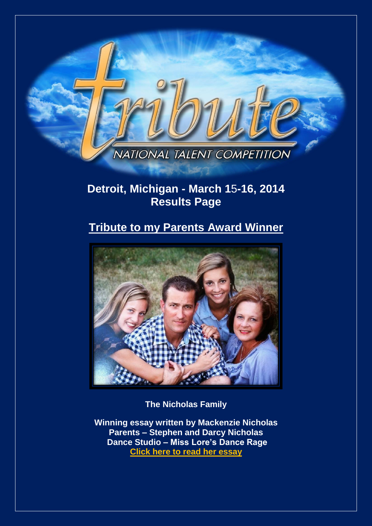

## **Detroit, Michigan - March 1**5**-16, 2014 Results Page**

## **Tribute to my Parents Award Winner**



**The Nicholas Family**

**Winning essay written by Mackenzie Nicholas Parents – Stephen and Darcy Nicholas Dance Studio – Miss Lore's Dance Rag[e](http://www.tributetodance.com/2014/essays/detroitessay.pdf) [Click here to read](http://www.tributetodance.com/2014/essays/detroitessay.pdf) her essay**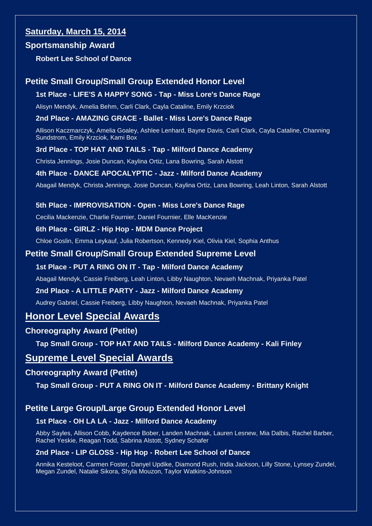### **Saturday, March 15, 2014**

### **Sportsmanship Award**

**Robert Lee School of Dance**

### **Petite Small Group/Small Group Extended Honor Level**

### **1st Place - LIFE'S A HAPPY SONG - Tap - Miss Lore's Dance Rage**

Alisyn Mendyk, Amelia Behm, Carli Clark, Cayla Cataline, Emily Krzciok

### **2nd Place - AMAZING GRACE - Ballet - Miss Lore's Dance Rage**

Allison Kaczmarczyk, Amelia Goaley, Ashlee Lenhard, Bayne Davis, Carli Clark, Cayla Cataline, Channing Sundstrom, Emily Krzciok, Kami Box

### **3rd Place - TOP HAT AND TAILS - Tap - Milford Dance Academy**

Christa Jennings, Josie Duncan, Kaylina Ortiz, Lana Bowring, Sarah Alstott

### **4th Place - DANCE APOCALYPTIC - Jazz - Milford Dance Academy**

Abagail Mendyk, Christa Jennings, Josie Duncan, Kaylina Ortiz, Lana Bowring, Leah Linton, Sarah Alstott

### **5th Place - IMPROVISATION - Open - Miss Lore's Dance Rage**

Cecilia Mackenzie, Charlie Fournier, Daniel Fournier, Elle MacKenzie

### **6th Place - GIRLZ - Hip Hop - MDM Dance Project**

Chloe Goslin, Emma Leykauf, Julia Robertson, Kennedy Kiel, Olivia Kiel, Sophia Anthus

### **Petite Small Group/Small Group Extended Supreme Level**

### **1st Place - PUT A RING ON IT - Tap - Milford Dance Academy**

Abagail Mendyk, Cassie Freiberg, Leah Linton, Libby Naughton, Nevaeh Machnak, Priyanka Patel

### **2nd Place - A LITTLE PARTY - Jazz - Milford Dance Academy**

Audrey Gabriel, Cassie Freiberg, Libby Naughton, Nevaeh Machnak, Priyanka Patel

### **Honor Level Special Awards**

### **Choreography Award (Petite)**

**Tap Small Group - TOP HAT AND TAILS - Milford Dance Academy - Kali Finley**

### **Supreme Level Special Awards**

### **Choreography Award (Petite)**

**Tap Small Group - PUT A RING ON IT - Milford Dance Academy - Brittany Knight**

### **Petite Large Group/Large Group Extended Honor Level**

### **1st Place - OH LA LA - Jazz - Milford Dance Academy**

Abby Sayles, Allison Cobb, Kaydence Bober, Landen Machnak, Lauren Lesnew, Mia Dalbis, Rachel Barber, Rachel Yeskie, Reagan Todd, Sabrina Alstott, Sydney Schafer

### **2nd Place - LIP GLOSS - Hip Hop - Robert Lee School of Dance**

Annika Kesteloot, Carmen Foster, Danyel Updike, Diamond Rush, India Jackson, Lilly Stone, Lynsey Zundel, Megan Zundel, Natalie Sikora, Shyla Mouzon, Taylor Watkins-Johnson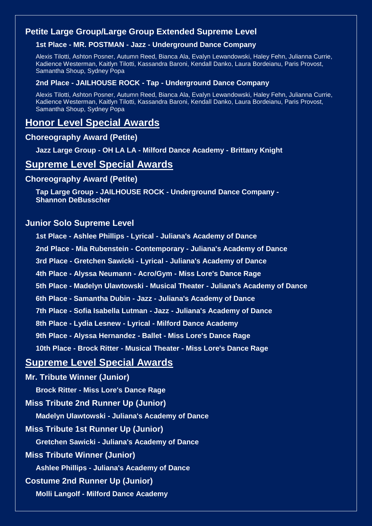### **Petite Large Group/Large Group Extended Supreme Level**

### **1st Place - MR. POSTMAN - Jazz - Underground Dance Company**

Alexis Tilotti, Ashton Posner, Autumn Reed, Bianca Ala, Evalyn Lewandowski, Haley Fehn, Julianna Currie, Kadience Westerman, Kaitlyn Tilotti, Kassandra Baroni, Kendall Danko, Laura Bordeianu, Paris Provost, Samantha Shoup, Sydney Popa

### **2nd Place - JAILHOUSE ROCK - Tap - Underground Dance Company**

Alexis Tilotti, Ashton Posner, Autumn Reed, Bianca Ala, Evalyn Lewandowski, Haley Fehn, Julianna Currie, Kadience Westerman, Kaitlyn Tilotti, Kassandra Baroni, Kendall Danko, Laura Bordeianu, Paris Provost, Samantha Shoup, Sydney Popa

## **Honor Level Special Awards**

### **Choreography Award (Petite)**

**Jazz Large Group - OH LA LA - Milford Dance Academy - Brittany Knight**

### **Supreme Level Special Awards**

### **Choreography Award (Petite)**

**Tap Large Group - JAILHOUSE ROCK - Underground Dance Company - Shannon DeBusscher**

### **Junior Solo Supreme Level**

- **1st Place - Ashlee Phillips - Lyrical - Juliana's Academy of Dance**
- **2nd Place - Mia Rubenstein - Contemporary - Juliana's Academy of Dance**
- **3rd Place - Gretchen Sawicki - Lyrical - Juliana's Academy of Dance**
- **4th Place - Alyssa Neumann - Acro/Gym - Miss Lore's Dance Rage**
- **5th Place - Madelyn Ulawtowski - Musical Theater - Juliana's Academy of Dance**
- **6th Place - Samantha Dubin - Jazz - Juliana's Academy of Dance**
- **7th Place - Sofia Isabella Lutman - Jazz - Juliana's Academy of Dance**
- **8th Place - Lydia Lesnew - Lyrical - Milford Dance Academy**
- **9th Place - Alyssa Hernandez - Ballet - Miss Lore's Dance Rage**
- **10th Place - Brock Ritter - Musical Theater - Miss Lore's Dance Rage**

### **Supreme Level Special Awards**

**Mr. Tribute Winner (Junior) Brock Ritter - Miss Lore's Dance Rage Miss Tribute 2nd Runner Up (Junior) Madelyn Ulawtowski - Juliana's Academy of Dance Miss Tribute 1st Runner Up (Junior) Gretchen Sawicki - Juliana's Academy of Dance Miss Tribute Winner (Junior) Ashlee Phillips - Juliana's Academy of Dance Costume 2nd Runner Up (Junior) Molli Langolf - Milford Dance Academy**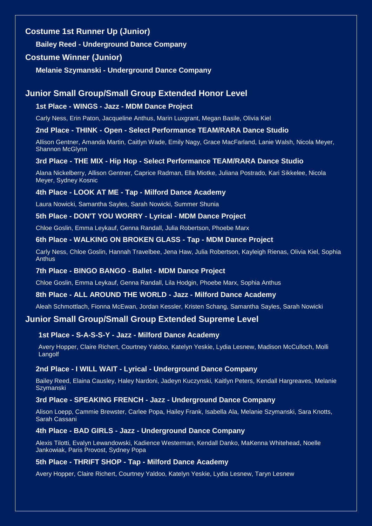### **Costume 1st Runner Up (Junior)**

**Bailey Reed - Underground Dance Company**

### **Costume Winner (Junior)**

**Melanie Szymanski - Underground Dance Company**

### **Junior Small Group/Small Group Extended Honor Level**

### **1st Place - WINGS - Jazz - MDM Dance Project**

Carly Ness, Erin Paton, Jacqueline Anthus, Marin Luxgrant, Megan Basile, Olivia Kiel

### **2nd Place - THINK - Open - Select Performance TEAM/RARA Dance Studio**

Allison Gentner, Amanda Martin, Caitlyn Wade, Emily Nagy, Grace MacFarland, Lanie Walsh, Nicola Meyer, Shannon McGlynn

### **3rd Place - THE MIX - Hip Hop - Select Performance TEAM/RARA Dance Studio**

Alana Nickelberry, Allison Gentner, Caprice Radman, Ella Miotke, Juliana Postrado, Kari Sikkelee, Nicola Meyer, Sydney Kosnic

### **4th Place - LOOK AT ME - Tap - Milford Dance Academy**

Laura Nowicki, Samantha Sayles, Sarah Nowicki, Summer Shunia

### **5th Place - DON'T YOU WORRY - Lyrical - MDM Dance Project**

Chloe Goslin, Emma Leykauf, Genna Randall, Julia Robertson, Phoebe Marx

### **6th Place - WALKING ON BROKEN GLASS - Tap - MDM Dance Project**

Carly Ness, Chloe Goslin, Hannah Travelbee, Jena Haw, Julia Robertson, Kayleigh Rienas, Olivia Kiel, Sophia Anthus

#### **7th Place - BINGO BANGO - Ballet - MDM Dance Project**

Chloe Goslin, Emma Leykauf, Genna Randall, Lila Hodgin, Phoebe Marx, Sophia Anthus

#### **8th Place - ALL AROUND THE WORLD - Jazz - Milford Dance Academy**

Aleah Schmottlach, Fionna McEwan, Jordan Kessler, Kristen Schang, Samantha Sayles, Sarah Nowicki

### **Junior Small Group/Small Group Extended Supreme Level**

### **1st Place - S-A-S-S-Y - Jazz - Milford Dance Academy**

Avery Hopper, Claire Richert, Courtney Yaldoo, Katelyn Yeskie, Lydia Lesnew, Madison McCulloch, Molli Langolf

#### **2nd Place - I WILL WAIT - Lyrical - Underground Dance Company**

Bailey Reed, Elaina Causley, Haley Nardoni, Jadeyn Kuczynski, Kaitlyn Peters, Kendall Hargreaves, Melanie **Szymanski** 

### **3rd Place - SPEAKING FRENCH - Jazz - Underground Dance Company**

Alison Loepp, Cammie Brewster, Carlee Popa, Hailey Frank, Isabella Ala, Melanie Szymanski, Sara Knotts, Sarah Cassani

#### **4th Place - BAD GIRLS - Jazz - Underground Dance Company**

Alexis Tilotti, Evalyn Lewandowski, Kadience Westerman, Kendall Danko, MaKenna Whitehead, Noelle Jankowiak, Paris Provost, Sydney Popa

### **5th Place - THRIFT SHOP - Tap - Milford Dance Academy**

Avery Hopper, Claire Richert, Courtney Yaldoo, Katelyn Yeskie, Lydia Lesnew, Taryn Lesnew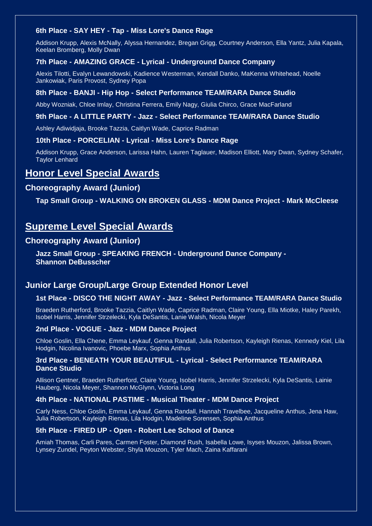### **6th Place - SAY HEY - Tap - Miss Lore's Dance Rage**

Addison Krupp, Alexis McNally, Alyssa Hernandez, Bregan Grigg, Courtney Anderson, Ella Yantz, Julia Kapala, Keelan Bromberg, Molly Dwan

### **7th Place - AMAZING GRACE - Lyrical - Underground Dance Company**

Alexis Tilotti, Evalyn Lewandowski, Kadience Westerman, Kendall Danko, MaKenna Whitehead, Noelle Jankowiak, Paris Provost, Sydney Popa

### **8th Place - BANJI - Hip Hop - Select Performance TEAM/RARA Dance Studio**

Abby Wozniak, Chloe Imlay, Christina Ferrera, Emily Nagy, Giulia Chirco, Grace MacFarland

### **9th Place - A LITTLE PARTY - Jazz - Select Performance TEAM/RARA Dance Studio**

Ashley Adiwidjaja, Brooke Tazzia, Caitlyn Wade, Caprice Radman

#### **10th Place - PORCELIAN - Lyrical - Miss Lore's Dance Rage**

Addison Krupp, Grace Anderson, Larissa Hahn, Lauren Taglauer, Madison Elliott, Mary Dwan, Sydney Schafer, Taylor Lenhard

### **Honor Level Special Awards**

### **Choreography Award (Junior)**

**Tap Small Group - WALKING ON BROKEN GLASS - MDM Dance Project - Mark McCleese**

### **Supreme Level Special Awards**

### **Choreography Award (Junior)**

**Jazz Small Group - SPEAKING FRENCH - Underground Dance Company - Shannon DeBusscher**

### **Junior Large Group/Large Group Extended Honor Level**

### **1st Place - DISCO THE NIGHT AWAY - Jazz - Select Performance TEAM/RARA Dance Studio**

Braeden Rutherford, Brooke Tazzia, Caitlyn Wade, Caprice Radman, Claire Young, Ella Miotke, Haley Parekh, Isobel Harris, Jennifer Strzelecki, Kyla DeSantis, Lanie Walsh, Nicola Meyer

#### **2nd Place - VOGUE - Jazz - MDM Dance Project**

Chloe Goslin, Ella Chene, Emma Leykauf, Genna Randall, Julia Robertson, Kayleigh Rienas, Kennedy Kiel, Lila Hodgin, Nicolina Ivanovic, Phoebe Marx, Sophia Anthus

#### **3rd Place - BENEATH YOUR BEAUTIFUL - Lyrical - Select Performance TEAM/RARA Dance Studio**

Allison Gentner, Braeden Rutherford, Claire Young, Isobel Harris, Jennifer Strzelecki, Kyla DeSantis, Lainie Hauberg, Nicola Meyer, Shannon McGlynn, Victoria Long

#### **4th Place - NATIONAL PASTIME - Musical Theater - MDM Dance Project**

Carly Ness, Chloe Goslin, Emma Leykauf, Genna Randall, Hannah Travelbee, Jacqueline Anthus, Jena Haw, Julia Robertson, Kayleigh Rienas, Lila Hodgin, Madeline Sorensen, Sophia Anthus

#### **5th Place - FIRED UP - Open - Robert Lee School of Dance**

Amiah Thomas, Carli Pares, Carmen Foster, Diamond Rush, Isabella Lowe, Isyses Mouzon, Jalissa Brown, Lynsey Zundel, Peyton Webster, Shyla Mouzon, Tyler Mach, Zaina Kaffarani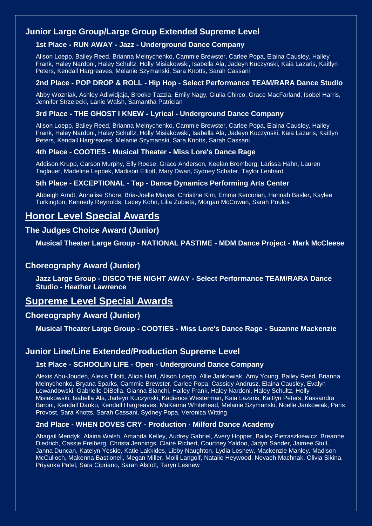### **Junior Large Group/Large Group Extended Supreme Level**

### **1st Place - RUN AWAY - Jazz - Underground Dance Company**

Alison Loepp, Bailey Reed, Brianna Melnychenko, Cammie Brewster, Carlee Popa, Elaina Causley, Hailey Frank, Haley Nardoni, Haley Schultz, Holly Misiakowski, Isabella Ala, Jadeyn Kuczynski, Kaia Lazaris, Kaitlyn Peters, Kendall Hargreaves, Melanie Szymanski, Sara Knotts, Sarah Cassani

### **2nd Place - POP DROP & ROLL - Hip Hop - Select Performance TEAM/RARA Dance Studio**

Abby Wozniak, Ashley Adiwidjaja, Brooke Tazzia, Emily Nagy, Giulia Chirco, Grace MacFarland, Isobel Harris, Jennifer Strzelecki, Lanie Walsh, Samantha Patrician

### **3rd Place - THE GHOST I KNEW - Lyrical - Underground Dance Company**

Alison Loepp, Bailey Reed, Brianna Melnychenko, Cammie Brewster, Carlee Popa, Elaina Causley, Hailey Frank, Haley Nardoni, Haley Schultz, Holly Misiakowski, Isabella Ala, Jadeyn Kuczynski, Kaia Lazaris, Kaitlyn Peters, Kendall Hargreaves, Melanie Szymanski, Sara Knotts, Sarah Cassani

### **4th Place - COOTIES - Musical Theater - Miss Lore's Dance Rage**

Addison Krupp, Carson Murphy, Elly Roese, Grace Anderson, Keelan Bromberg, Larissa Hahn, Lauren Taglauer, Madeline Leppek, Madison Elliott, Mary Dwan, Sydney Schafer, Taylor Lenhard

### **5th Place - EXCEPTIONAL - Tap - Dance Dynamics Performing Arts Center**

Abbeigh Arndt, Annalise Shore, Bria-Joelle Mayes, Christine Kim, Emma Kercorian, Hannah Basler, Kaylee Turkington, Kennedy Reynolds, Lacey Kohn, Lilia Zubieta, Morgan McCowan, Sarah Poulos

## **Honor Level Special Awards**

### **The Judges Choice Award (Junior)**

**Musical Theater Large Group - NATIONAL PASTIME - MDM Dance Project - Mark McCleese**

### **Choreography Award (Junior)**

**Jazz Large Group - DISCO THE NIGHT AWAY - Select Performance TEAM/RARA Dance Studio - Heather Lawrence**

## **Supreme Level Special Awards**

### **Choreography Award (Junior)**

**Musical Theater Large Group - COOTIES - Miss Lore's Dance Rage - Suzanne Mackenzie**

### **Junior Line/Line Extended/Production Supreme Level**

### **1st Place - SCHOOLIN LIFE - Open - Underground Dance Company**

Alexis Abu-Joudeh, Alexis Tilotti, Alicia Hart, Alison Loepp, Allie Jankowiak, Amy Young, Bailey Reed, Brianna Melnychenko, Bryana Sparks, Cammie Brewster, Carlee Popa, Cassidy Andrusz, Elaina Causley, Evalyn Lewandowski, Gabrielle DiBella, Gianna Bianchi, Hailey Frank, Haley Nardoni, Haley Schultz, Holly Misiakowski, Isabella Ala, Jadeyn Kuczynski, Kadience Westerman, Kaia Lazaris, Kaitlyn Peters, Kassandra Baroni, Kendall Danko, Kendall Hargreaves, MaKenna Whitehead, Melanie Szymanski, Noelle Jankowiak, Paris Provost, Sara Knotts, Sarah Cassani, Sydney Popa, Veronica Witting

### **2nd Place - WHEN DOVES CRY - Production - Milford Dance Academy**

Abagail Mendyk, Alaina Walsh, Amanda Kelley, Audrey Gabriel, Avery Hopper, Bailey Pietraszkiewicz, Breanne Diedrich, Cassie Freiberg, Christa Jennings, Claire Richert, Courtney Yaldoo, Jadyn Sander, Jaimee Stull, Janna Duncan, Katelyn Yeskie, Katie Lakkides, Libby Naughton, Lydia Lesnew, Mackenzie Manley, Madison McCulloch, Makenna Bastionell, Megan Miller, Molli Langolf, Natalie Heywood, Nevaeh Machnak, Olivia Sikina, Priyanka Patel, Sara Cipriano, Sarah Alstott, Taryn Lesnew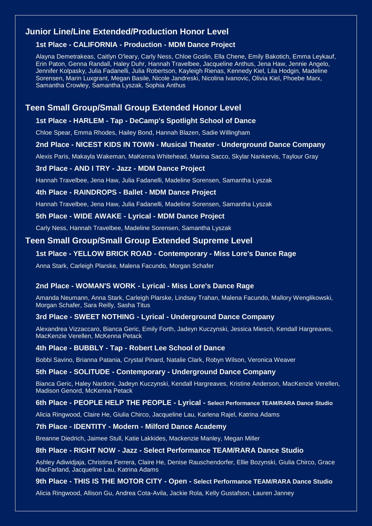### **Junior Line/Line Extended/Production Honor Level**

### **1st Place - CALIFORNIA - Production - MDM Dance Project**

Alayna Demetrakeas, Caitlyn O'leary, Carly Ness, Chloe Goslin, Ella Chene, Emily Bakotich, Emma Leykauf, Erin Paton, Genna Randall, Haley Duhr, Hannah Travelbee, Jacqueline Anthus, Jena Haw, Jennie Angelo, Jennifer Kolpasky, Julia Fadanelli, Julia Robertson, Kayleigh Rienas, Kennedy Kiel, Lila Hodgin, Madeline Sorensen, Marin Luxgrant, Megan Basile, Nicole Jandreski, Nicolina Ivanovic, Olivia Kiel, Phoebe Marx, Samantha Crowley, Samantha Lyszak, Sophia Anthus

### **Teen Small Group/Small Group Extended Honor Level**

### **1st Place - HARLEM - Tap - DeCamp's Spotlight School of Dance**

Chloe Spear, Emma Rhodes, Hailey Bond, Hannah Blazen, Sadie Willingham

#### **2nd Place - NICEST KIDS IN TOWN - Musical Theater - Underground Dance Company**

Alexis Paris, Makayla Wakeman, MaKenna Whitehead, Marina Sacco, Skylar Nankervis, Taylour Gray

### **3rd Place - AND I TRY - Jazz - MDM Dance Project**

Hannah Travelbee, Jena Haw, Julia Fadanelli, Madeline Sorensen, Samantha Lyszak

### **4th Place - RAINDROPS - Ballet - MDM Dance Project**

Hannah Travelbee, Jena Haw, Julia Fadanelli, Madeline Sorensen, Samantha Lyszak

### **5th Place - WIDE AWAKE - Lyrical - MDM Dance Project**

Carly Ness, Hannah Travelbee, Madeline Sorensen, Samantha Lyszak

### **Teen Small Group/Small Group Extended Supreme Level**

### **1st Place - YELLOW BRICK ROAD - Contemporary - Miss Lore's Dance Rage**

Anna Stark, Carleigh Plarske, Malena Facundo, Morgan Schafer

#### **2nd Place - WOMAN'S WORK - Lyrical - Miss Lore's Dance Rage**

Amanda Neumann, Anna Stark, Carleigh Plarske, Lindsay Trahan, Malena Facundo, Mallory Wenglikowski, Morgan Schafer, Sara Reilly, Sasha Titus

#### **3rd Place - SWEET NOTHING - Lyrical - Underground Dance Company**

Alexandrea Vizzaccaro, Bianca Geric, Emily Forth, Jadeyn Kuczynski, Jessica Miesch, Kendall Hargreaves, MacKenzie Verellen, McKenna Petack

#### **4th Place - BUBBLY - Tap - Robert Lee School of Dance**

Bobbi Savino, Brianna Patania, Crystal Pinard, Natalie Clark, Robyn Wilson, Veronica Weaver

### **5th Place - SOLITUDE - Contemporary - Underground Dance Company**

Bianca Geric, Haley Nardoni, Jadeyn Kuczynski, Kendall Hargreaves, Kristine Anderson, MacKenzie Verellen, Madison Genord, McKenna Petack

#### **6th Place - PEOPLE HELP THE PEOPLE - Lyrical - Select Performance TEAM/RARA Dance Studio**

Alicia Ringwood, Claire He, Giulia Chirco, Jacqueline Lau, Karlena Rajel, Katrina Adams

#### **7th Place - IDENTITY - Modern - Milford Dance Academy**

Breanne Diedrich, Jaimee Stull, Katie Lakkides, Mackenzie Manley, Megan Miller

### **8th Place - RIGHT NOW - Jazz - Select Performance TEAM/RARA Dance Studio**

Ashley Adiwidjaja, Christina Ferrera, Claire He, Denise Rauschendorfer, Ellie Bozynski, Giulia Chirco, Grace MacFarland, Jacqueline Lau, Katrina Adams

### **9th Place - THIS IS THE MOTOR CITY - Open - Select Performance TEAM/RARA Dance Studio**

Alicia Ringwood, Allison Gu, Andrea Cota-Avila, Jackie Rola, Kelly Gustafson, Lauren Janney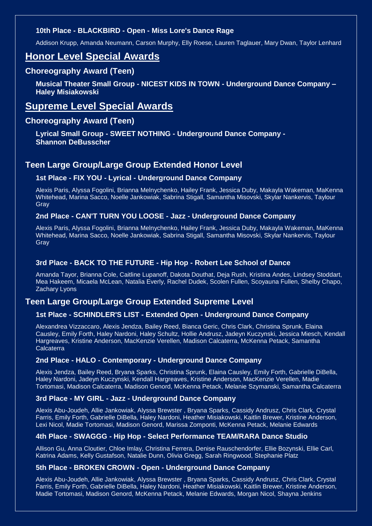### **10th Place - BLACKBIRD - Open - Miss Lore's Dance Rage**

Addison Krupp, Amanda Neumann, Carson Murphy, Elly Roese, Lauren Taglauer, Mary Dwan, Taylor Lenhard

### **Honor Level Special Awards**

### **Choreography Award (Teen)**

**Musical Theater Small Group - NICEST KIDS IN TOWN - Underground Dance Company – Haley Misiakowski**

## **Supreme Level Special Awards**

### **Choreography Award (Teen)**

**Lyrical Small Group - SWEET NOTHING - Underground Dance Company - Shannon DeBusscher**

### **Teen Large Group/Large Group Extended Honor Level**

### **1st Place - FIX YOU - Lyrical - Underground Dance Company**

Alexis Paris, Alyssa Fogolini, Brianna Melnychenko, Hailey Frank, Jessica Duby, Makayla Wakeman, MaKenna Whitehead, Marina Sacco, Noelle Jankowiak, Sabrina Stigall, Samantha Misovski, Skylar Nankervis, Taylour **Gray** 

### **2nd Place - CAN'T TURN YOU LOOSE - Jazz - Underground Dance Company**

Alexis Paris, Alyssa Fogolini, Brianna Melnychenko, Hailey Frank, Jessica Duby, Makayla Wakeman, MaKenna Whitehead, Marina Sacco, Noelle Jankowiak, Sabrina Stigall, Samantha Misovski, Skylar Nankervis, Taylour **Gray** 

### **3rd Place - BACK TO THE FUTURE - Hip Hop - Robert Lee School of Dance**

Amanda Tayor, Brianna Cole, Caitline Lupanoff, Dakota Douthat, Deja Rush, Kristina Andes, Lindsey Stoddart, Mea Hakeem, Micaela McLean, Natalia Everly, Rachel Dudek, Scolen Fullen, Scoyauna Fullen, Shelby Chapo, Zachary Lyons

### **Teen Large Group/Large Group Extended Supreme Level**

### **1st Place - SCHINDLER'S LIST - Extended Open - Underground Dance Company**

Alexandrea Vizzaccaro, Alexis Jendza, Bailey Reed, Bianca Geric, Chris Clark, Christina Sprunk, Elaina Causley, Emily Forth, Haley Nardoni, Haley Schultz, Hollie Andrusz, Jadeyn Kuczynski, Jessica Miesch, Kendall Hargreaves, Kristine Anderson, MacKenzie Verellen, Madison Calcaterra, McKenna Petack, Samantha **Calcaterra** 

### **2nd Place - HALO - Contemporary - Underground Dance Company**

Alexis Jendza, Bailey Reed, Bryana Sparks, Christina Sprunk, Elaina Causley, Emily Forth, Gabrielle DiBella, Haley Nardoni, Jadeyn Kuczynski, Kendall Hargreaves, Kristine Anderson, MacKenzie Verellen, Madie Tortomasi, Madison Calcaterra, Madison Genord, McKenna Petack, Melanie Szymanski, Samantha Calcaterra

#### **3rd Place - MY GIRL - Jazz - Underground Dance Company**

Alexis Abu-Joudeh, Allie Jankowiak, Alyssa Brewster , Bryana Sparks, Cassidy Andrusz, Chris Clark, Crystal Farris, Emily Forth, Gabrielle DiBella, Haley Nardoni, Heather Misiakowski, Kaitlin Brewer, Kristine Anderson, Lexi Nicol, Madie Tortomasi, Madison Genord, Marissa Zomponti, McKenna Petack, Melanie Edwards

#### **4th Place - SWAGGG - Hip Hop - Select Performance TEAM/RARA Dance Studio**

Allison Gu, Anna Cloutier, Chloe Imlay, Christina Ferrera, Denise Rauschendorfer, Ellie Bozynski, Ellie Carl, Katrina Adams, Kelly Gustafson, Natalie Dunn, Olivia Gregg, Sarah Ringwood, Stephanie Platz

#### **5th Place - BROKEN CROWN - Open - Underground Dance Company**

Alexis Abu-Joudeh, Allie Jankowiak, Alyssa Brewster , Bryana Sparks, Cassidy Andrusz, Chris Clark, Crystal Farris, Emily Forth, Gabrielle DiBella, Haley Nardoni, Heather Misiakowski, Kaitlin Brewer, Kristine Anderson, Madie Tortomasi, Madison Genord, McKenna Petack, Melanie Edwards, Morgan Nicol, Shayna Jenkins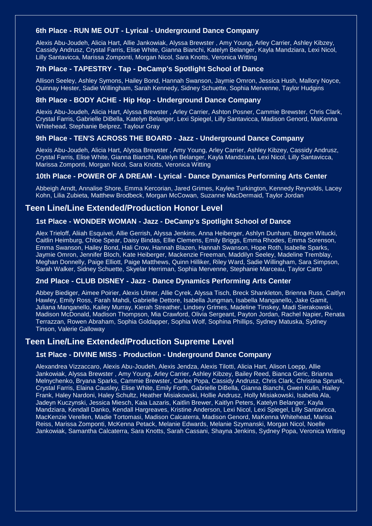### **6th Place - RUN ME OUT - Lyrical - Underground Dance Company**

Alexis Abu-Joudeh, Alicia Hart, Allie Jankowiak, Alyssa Brewster , Amy Young, Arley Carrier, Ashley Kibzey, Cassidy Andrusz, Crystal Farris, Elise White, Gianna Bianchi, Katelyn Belanger, Kayla Mandziara, Lexi Nicol, Lilly Santavicca, Marissa Zomponti, Morgan Nicol, Sara Knotts, Veronica Witting

### **7th Place - TAPESTRY - Tap - DeCamp's Spotlight School of Dance**

Allison Seeley, Ashley Symons, Hailey Bond, Hannah Swanson, Jaymie Omron, Jessica Hush, Mallory Noyce, Quinnay Hester, Sadie Willingham, Sarah Kennedy, Sidney Schuette, Sophia Mervenne, Taylor Hudgins

### **8th Place - BODY ACHE - Hip Hop - Underground Dance Company**

Alexis Abu-Joudeh, Alicia Hart, Alyssa Brewster , Arley Carrier, Ashton Posner, Cammie Brewster, Chris Clark, Crystal Farris, Gabrielle DiBella, Katelyn Belanger, Lexi Spiegel, Lilly Santavicca, Madison Genord, MaKenna Whitehead, Stephanie Belprez, Taylour Gray

### **9th Place - TEN'S ACROSS THE BOARD - Jazz - Underground Dance Company**

Alexis Abu-Joudeh, Alicia Hart, Alyssa Brewster , Amy Young, Arley Carrier, Ashley Kibzey, Cassidy Andrusz, Crystal Farris, Elise White, Gianna Bianchi, Katelyn Belanger, Kayla Mandziara, Lexi Nicol, Lilly Santavicca, Marissa Zomponti, Morgan Nicol, Sara Knotts, Veronica Witting

#### **10th Place - POWER OF A DREAM - Lyrical - Dance Dynamics Performing Arts Center**

Abbeigh Arndt, Annalise Shore, Emma Kercorian, Jared Grimes, Kaylee Turkington, Kennedy Reynolds, Lacey Kohn, Lilia Zubieta, Matthew Brodbeck, Morgan McCowan, Suzanne MacDermaid, Taylor Jordan

### **Teen Line/Line Extended/Production Honor Level**

### **1st Place - WONDER WOMAN - Jazz - DeCamp's Spotlight School of Dance**

Alex Trieloff, Aliiah Esquivel, Allie Gerrish, Alyssa Jenkins, Anna Heiberger, Ashlyn Dunham, Brogen Witucki, Caitlin Heimburg, Chloe Spear, Daisy Bindas, Ellie Clemens, Emily Briggs, Emma Rhodes, Emma Sorenson, Emma Swanson, Hailey Bond, Hali Crow, Hannah Blazen, Hannah Swanson, Hope Roth, Isabelle Sparks, Jaymie Omron, Jennifer Bloch, Kate Heiberger, Mackenzie Freeman, Maddilyn Seeley, Madeline Tremblay, Meghan Donnelly, Paige Elliott, Paige Matthews, Quinn Hilliker, Riley Ward, Sadie Willingham, Sara Simpson, Sarah Walker, Sidney Schuette, Skyelar Herriman, Sophia Mervenne, Stephanie Marceau, Taylor Carto

#### **2nd Place - CLUB DISNEY - Jazz - Dance Dynamics Performing Arts Center**

Abbey Biediger, Aimee Poirier, Alexis Ulmer, Allie Cyrek, Alyssa Tisch, Breck Shankleton, Brienna Russ, Caitlyn Hawley, Emily Ross, Farah Mahdi, Gabrielle Dettore, Isabella Jungman, Isabella Manganello, Jake Gamit, Juliana Manganello, Kailey Murray, Kierah Streather, Lindsey Grimes, Madeline Tinskey, Madi Sierakowski, Madison McDonald, Madison Thompson, Mia Crawford, Olivia Sergeant, Payton Jordan, Rachel Napier, Renata Terrazzan, Rowen Abraham, Sophia Goldapper, Sophia Wolf, Sophina Phillips, Sydney Matuska, Sydney Tinson, Valerie Galloway

### **Teen Line/Line Extended/Production Supreme Level**

#### **1st Place - DIVINE MISS - Production - Underground Dance Company**

Alexandrea Vizzaccaro, Alexis Abu-Joudeh, Alexis Jendza, Alexis Tilotti, Alicia Hart, Alison Loepp, Allie Jankowiak, Alyssa Brewster , Amy Young, Arley Carrier, Ashley Kibzey, Bailey Reed, Bianca Geric, Brianna Melnychenko, Bryana Sparks, Cammie Brewster, Carlee Popa, Cassidy Andrusz, Chris Clark, Christina Sprunk, Crystal Farris, Elaina Causley, Elise White, Emily Forth, Gabrielle DiBella, Gianna Bianchi, Gwen Kulin, Hailey Frank, Haley Nardoni, Haley Schultz, Heather Misiakowski, Hollie Andrusz, Holly Misiakowski, Isabella Ala, Jadeyn Kuczynski, Jessica Miesch, Kaia Lazaris, Kaitlin Brewer, Kaitlyn Peters, Katelyn Belanger, Kayla Mandziara, Kendall Danko, Kendall Hargreaves, Kristine Anderson, Lexi Nicol, Lexi Spiegel, Lilly Santavicca, MacKenzie Verellen, Madie Tortomasi, Madison Calcaterra, Madison Genord, MaKenna Whitehead, Marisa Reiss, Marissa Zomponti, McKenna Petack, Melanie Edwards, Melanie Szymanski, Morgan Nicol, Noelle Jankowiak, Samantha Calcaterra, Sara Knotts, Sarah Cassani, Shayna Jenkins, Sydney Popa, Veronica Witting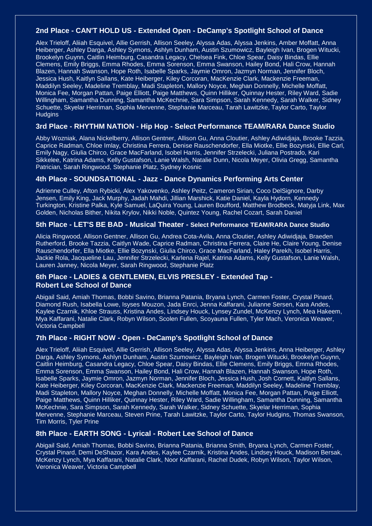### **2nd Place - CAN'T HOLD US - Extended Open - DeCamp's Spotlight School of Dance**

Alex Trieloff, Aliiah Esquivel, Allie Gerrish, Allison Seeley, Alyssa Adas, Alyssa Jenkins, Amber Moffatt, Anna Heiberger, Ashley Darga, Ashley Symons, Ashlyn Dunham, Austin Szumowicz, Bayleigh Ivan, Brogen Witucki, Brookelyn Guynn, Caitlin Heimburg, Casandra Legacy, Chelsea Fink, Chloe Spear, Daisy Bindas, Ellie Clemens, Emily Briggs, Emma Rhodes, Emma Sorenson, Emma Swanson, Hailey Bond, Hali Crow, Hannah Blazen, Hannah Swanson, Hope Roth, Isabelle Sparks, Jaymie Omron, Jazmyn Norman, Jennifer Bloch, Jessica Hush, Kaitlyn Sallans, Kate Heiberger, Kiley Corcoran, MacKenzie Clark, Mackenzie Freeman, Maddilyn Seeley, Madeline Tremblay, Madi Stapleton, Mallory Noyce, Meghan Donnelly, Michelle Moffatt, Monica Fee, Morgan Pattan, Paige Elliott, Paige Matthews, Quinn Hilliker, Quinnay Hester, Riley Ward, Sadie Willingham, Samantha Dunning, Samantha McKechnie, Sara Simpson, Sarah Kennedy, Sarah Walker, Sidney Schuette, Skyelar Herriman, Sophia Mervenne, Stephanie Marceau, Tarah Lawitzke, Taylor Carto, Taylor **Hudgins** 

#### **3rd Place - RHYTHM NATION - Hip Hop - Select Performance TEAM/RARA Dance Studio**

Abby Wozniak, Alana Nickelberry, Allison Gentner, Allison Gu, Anna Cloutier, Ashley Adiwidjaja, Brooke Tazzia, Caprice Radman, Chloe Imlay, Christina Ferrera, Denise Rauschendorfer, Ella Miotke, Ellie Bozynski, Ellie Carl, Emily Nagy, Giulia Chirco, Grace MacFarland, Isobel Harris, Jennifer Strzelecki, Juliana Postrado, Kari Sikkelee, Katrina Adams, Kelly Gustafson, Lanie Walsh, Natalie Dunn, Nicola Meyer, Olivia Gregg, Samantha Patrician, Sarah Ringwood, Stephanie Platz, Sydney Kosnic

#### **4th Place - SOUNDSATIONAL - Jazz - Dance Dynamics Performing Arts Center**

Adrienne Culley, Afton Rybicki, Alex Yakovenko, Ashley Peitz, Cameron Sirian, Coco DelSignore, Darby Jensen, Emily King, Jack Murphy, Jadah Mahdi, Jillian Marshick, Katie Daniel, Kayla Hydorn, Kennedy Turkington, Kristine Palka, Kyle Samuel, LaQuira Young, Lauren Boufford, Matthew Brodbeck, Matyja Link, Max Golden, Nicholas Bither, Nikita Krylov, Nikki Noble, Quintez Young, Rachel Cozart, Sarah Daniel

#### **5th Place - LET'S BE BAD - Musical Theater - Select Performance TEAM/RARA Dance Studio**

Alicia Ringwood, Allison Gentner, Allison Gu, Andrea Cota-Avila, Anna Cloutier, Ashley Adiwidjaja, Braeden Rutherford, Brooke Tazzia, Caitlyn Wade, Caprice Radman, Christina Ferrera, Claire He, Claire Young, Denise Rauschendorfer, Ella Miotke, Ellie Bozynski, Giulia Chirco, Grace MacFarland, Haley Parekh, Isobel Harris, Jackie Rola, Jacqueline Lau, Jennifer Strzelecki, Karlena Rajel, Katrina Adams, Kelly Gustafson, Lanie Walsh, Lauren Janney, Nicola Meyer, Sarah Ringwood, Stephanie Platz

### **6th Place - LADIES & GENTLEMEN, ELVIS PRESLEY - Extended Tap - Robert Lee School of Dance**

Abigail Said, Amiah Thomas, Bobbi Savino, Brianna Patania, Bryana Lynch, Carmen Foster, Crystal Pinard, Diamond Rush, Isabella Lowe, Isyses Mouzon, Jada Enrci, Jenna Kaffarani, Julianne Sersen, Kara Andes, Kaylee Czarnik, Khloe Strauss, Kristina Andes, Lindsey Houck, Lynsey Zundel, McKenzy Lynch, Mea Hakeem, Mya Kaffarani, Natalie Clark, Robyn Wilson, Scolen Fullen, Scoyauna Fullen, Tyler Mach, Veronica Weaver, Victoria Campbell

#### **7th Place - RIGHT NOW - Open - DeCamp's Spotlight School of Dance**

Alex Trieloff, Aliiah Esquivel, Allie Gerrish, Allison Seeley, Alyssa Adas, Alyssa Jenkins, Anna Heiberger, Ashley Darga, Ashley Symons, Ashlyn Dunham, Austin Szumowicz, Bayleigh Ivan, Brogen Witucki, Brookelyn Guynn, Caitlin Heimburg, Casandra Legacy, Chloe Spear, Daisy Bindas, Ellie Clemens, Emily Briggs, Emma Rhodes, Emma Sorenson, Emma Swanson, Hailey Bond, Hali Crow, Hannah Blazen, Hannah Swanson, Hope Roth, Isabelle Sparks, Jaymie Omron, Jazmyn Norman, Jennifer Bloch, Jessica Hush, Josh Cornett, Kaitlyn Sallans, Kate Heiberger, Kiley Corcoran, MacKenzie Clark, Mackenzie Freeman, Maddilyn Seeley, Madeline Tremblay, Madi Stapleton, Mallory Noyce, Meghan Donnelly, Michelle Moffatt, Monica Fee, Morgan Pattan, Paige Elliott, Paige Matthews, Quinn Hilliker, Quinnay Hester, Riley Ward, Sadie Willingham, Samantha Dunning, Samantha McKechnie, Sara Simpson, Sarah Kennedy, Sarah Walker, Sidney Schuette, Skyelar Herriman, Sophia Mervenne, Stephanie Marceau, Steven Prine, Tarah Lawitzke, Taylor Carto, Taylor Hudgins, Thomas Swanson, Tim Morris, Tyler Prine

### **8th Place - EARTH SONG - Lyrical - Robert Lee School of Dance**

Abigail Said, Amiah Thomas, Bobbi Savino, Brianna Patania, Brianna Smith, Bryana Lynch, Carmen Foster, Crystal Pinard, Demi DeShazor, Kara Andes, Kaylee Czarnik, Kristina Andes, Lindsey Houck, Madison Bersak, McKenzy Lynch, Mya Kaffarani, Natalie Clark, Noor Kaffarani, Rachel Dudek, Robyn Wilson, Taylor Wilson, Veronica Weaver, Victoria Campbell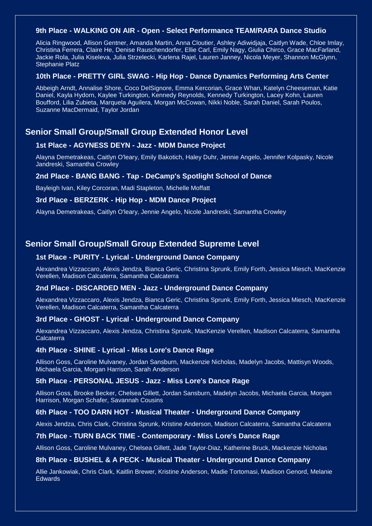#### **9th Place - WALKING ON AIR - Open - Select Performance TEAM/RARA Dance Studio**

Alicia Ringwood, Allison Gentner, Amanda Martin, Anna Cloutier, Ashley Adiwidjaja, Caitlyn Wade, Chloe Imlay, Christina Ferrera, Claire He, Denise Rauschendorfer, Ellie Carl, Emily Nagy, Giulia Chirco, Grace MacFarland, Jackie Rola, Julia Kiseleva, Julia Strzelecki, Karlena Rajel, Lauren Janney, Nicola Meyer, Shannon McGlynn, Stephanie Platz

#### **10th Place - PRETTY GIRL SWAG - Hip Hop - Dance Dynamics Performing Arts Center**

Abbeigh Arndt, Annalise Shore, Coco DelSignore, Emma Kercorian, Grace Whan, Katelyn Cheeseman, Katie Daniel, Kayla Hydorn, Kaylee Turkington, Kennedy Reynolds, Kennedy Turkington, Lacey Kohn, Lauren Boufford, Lilia Zubieta, Marquela Aguilera, Morgan McCowan, Nikki Noble, Sarah Daniel, Sarah Poulos, Suzanne MacDermaid, Taylor Jordan

### **Senior Small Group/Small Group Extended Honor Level**

#### **1st Place - AGYNESS DEYN - Jazz - MDM Dance Project**

Alayna Demetrakeas, Caitlyn O'leary, Emily Bakotich, Haley Duhr, Jennie Angelo, Jennifer Kolpasky, Nicole Jandreski, Samantha Crowley

#### **2nd Place - BANG BANG - Tap - DeCamp's Spotlight School of Dance**

Bayleigh Ivan, Kiley Corcoran, Madi Stapleton, Michelle Moffatt

#### **3rd Place - BERZERK - Hip Hop - MDM Dance Project**

Alayna Demetrakeas, Caitlyn O'leary, Jennie Angelo, Nicole Jandreski, Samantha Crowley

### **Senior Small Group/Small Group Extended Supreme Level**

### **1st Place - PURITY - Lyrical - Underground Dance Company**

Alexandrea Vizzaccaro, Alexis Jendza, Bianca Geric, Christina Sprunk, Emily Forth, Jessica Miesch, MacKenzie Verellen, Madison Calcaterra, Samantha Calcaterra

### **2nd Place - DISCARDED MEN - Jazz - Underground Dance Company**

Alexandrea Vizzaccaro, Alexis Jendza, Bianca Geric, Christina Sprunk, Emily Forth, Jessica Miesch, MacKenzie Verellen, Madison Calcaterra, Samantha Calcaterra

#### **3rd Place - GHOST - Lyrical - Underground Dance Company**

Alexandrea Vizzaccaro, Alexis Jendza, Christina Sprunk, MacKenzie Verellen, Madison Calcaterra, Samantha **Calcaterra** 

#### **4th Place - SHINE - Lyrical - Miss Lore's Dance Rage**

Allison Goss, Caroline Mulvaney, Jordan Sansburn, Mackenzie Nicholas, Madelyn Jacobs, Mattisyn Woods, Michaela Garcia, Morgan Harrison, Sarah Anderson

#### **5th Place - PERSONAL JESUS - Jazz - Miss Lore's Dance Rage**

Allison Goss, Brooke Becker, Chelsea Gillett, Jordan Sansburn, Madelyn Jacobs, Michaela Garcia, Morgan Harrison, Morgan Schafer, Savannah Cousins

#### **6th Place - TOO DARN HOT - Musical Theater - Underground Dance Company**

Alexis Jendza, Chris Clark, Christina Sprunk, Kristine Anderson, Madison Calcaterra, Samantha Calcaterra

#### **7th Place - TURN BACK TIME - Contemporary - Miss Lore's Dance Rage**

Allison Goss, Caroline Mulvaney, Chelsea Gillett, Jade Taylor-Diaz, Katherine Bruck, Mackenzie Nicholas

#### **8th Place - BUSHEL & A PECK - Musical Theater - Underground Dance Company**

Allie Jankowiak, Chris Clark, Kaitlin Brewer, Kristine Anderson, Madie Tortomasi, Madison Genord, Melanie **Edwards**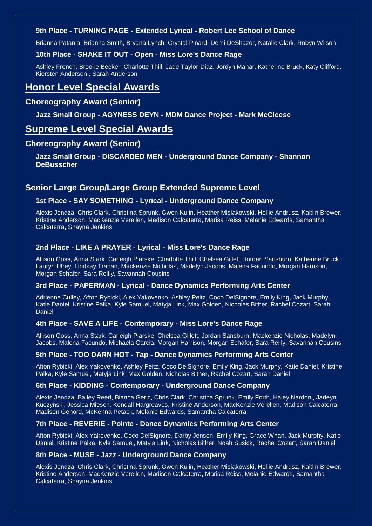### **9th Place - TURNING PAGE - Extended Lyrical - Robert Lee School of Dance**

Brianna Patania, Brianna Smith, Bryana Lynch, Crystal Pinard, Demi DeShazor, Natalie Clark, Robyn Wilson

#### **10th Place - SHAKE IT OUT - Open - Miss Lore's Dance Rage**

Ashley French, Brooke Becker, Charlotte Thill, Jade Taylor-Diaz, Jordyn Mahar, Katherine Bruck, Katy Clifford, Kiersten Anderson , Sarah Anderson

## **Honor Level Special Awards**

### **Choreography Award (Senior)**

### **Jazz Small Group - AGYNESS DEYN - MDM Dance Project - Mark McCleese**

### **Supreme Level Special Awards**

### **Choreography Award (Senior)**

**Jazz Small Group - DISCARDED MEN - Underground Dance Company - Shannon DeBusscher**

### **Senior Large Group/Large Group Extended Supreme Level**

### **1st Place - SAY SOMETHING - Lyrical - Underground Dance Company**

Alexis Jendza, Chris Clark, Christina Sprunk, Gwen Kulin, Heather Misiakowski, Hollie Andrusz, Kaitlin Brewer, Kristine Anderson, MacKenzie Verellen, Madison Calcaterra, Marisa Reiss, Melanie Edwards, Samantha Calcaterra, Shayna Jenkins

### **2nd Place - LIKE A PRAYER - Lyrical - Miss Lore's Dance Rage**

Allison Goss, Anna Stark, Carleigh Plarske, Charlotte Thill, Chelsea Gillett, Jordan Sansburn, Katherine Bruck, Lauryn Ulrey, Lindsay Trahan, Mackenzie Nicholas, Madelyn Jacobs, Malena Facundo, Morgan Harrison, Morgan Schafer, Sara Reilly, Savannah Cousins

#### **3rd Place - PAPERMAN - Lyrical - Dance Dynamics Performing Arts Center**

Adrienne Culley, Afton Rybicki, Alex Yakovenko, Ashley Peitz, Coco DelSignore, Emily King, Jack Murphy, Katie Daniel, Kristine Palka, Kyle Samuel, Matyja Link, Max Golden, Nicholas Bither, Rachel Cozart, Sarah Daniel

### **4th Place - SAVE A LIFE - Contemporary - Miss Lore's Dance Rage**

Allison Goss, Anna Stark, Carleigh Plarske, Chelsea Gillett, Jordan Sansburn, Mackenzie Nicholas, Madelyn Jacobs, Malena Facundo, Michaela Garcia, Morgan Harrison, Morgan Schafer, Sara Reilly, Savannah Cousins

### **5th Place - TOO DARN HOT - Tap - Dance Dynamics Performing Arts Center**

Afton Rybicki, Alex Yakovenko, Ashley Peitz, Coco DelSignore, Emily King, Jack Murphy, Katie Daniel, Kristine Palka, Kyle Samuel, Matyja Link, Max Golden, Nicholas Bither, Rachel Cozart, Sarah Daniel

### **6th Place - KIDDING - Contemporary - Underground Dance Company**

Alexis Jendza, Bailey Reed, Bianca Geric, Chris Clark, Christina Sprunk, Emily Forth, Haley Nardoni, Jadeyn Kuczynski, Jessica Miesch, Kendall Hargreaves, Kristine Anderson, MacKenzie Verellen, Madison Calcaterra, Madison Genord, McKenna Petack, Melanie Edwards, Samantha Calcaterra

#### **7th Place - REVERIE - Pointe - Dance Dynamics Performing Arts Center**

Afton Rybicki, Alex Yakovenko, Coco DelSignore, Darby Jensen, Emily King, Grace Whan, Jack Murphy, Katie Daniel, Kristine Palka, Kyle Samuel, Matyja Link, Nicholas Bither, Noah Susick, Rachel Cozart, Sarah Daniel

### **8th Place - MUSE - Jazz - Underground Dance Company**

Alexis Jendza, Chris Clark, Christina Sprunk, Gwen Kulin, Heather Misiakowski, Hollie Andrusz, Kaitlin Brewer, Kristine Anderson, MacKenzie Verellen, Madison Calcaterra, Marisa Reiss, Melanie Edwards, Samantha Calcaterra, Shayna Jenkins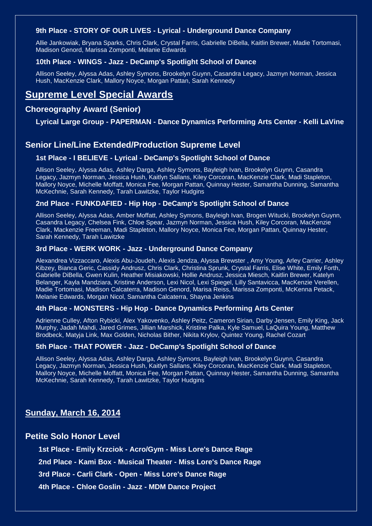### **9th Place - STORY OF OUR LIVES - Lyrical - Underground Dance Company**

Allie Jankowiak, Bryana Sparks, Chris Clark, Crystal Farris, Gabrielle DiBella, Kaitlin Brewer, Madie Tortomasi, Madison Genord, Marissa Zomponti, Melanie Edwards

### **10th Place - WINGS - Jazz - DeCamp's Spotlight School of Dance**

Allison Seeley, Alyssa Adas, Ashley Symons, Brookelyn Guynn, Casandra Legacy, Jazmyn Norman, Jessica Hush, MacKenzie Clark, Mallory Noyce, Morgan Pattan, Sarah Kennedy

## **Supreme Level Special Awards**

### **Choreography Award (Senior)**

### **Lyrical Large Group - PAPERMAN - Dance Dynamics Performing Arts Center - Kelli LaVine**

### **Senior Line/Line Extended/Production Supreme Level**

### **1st Place - I BELIEVE - Lyrical - DeCamp's Spotlight School of Dance**

Allison Seeley, Alyssa Adas, Ashley Darga, Ashley Symons, Bayleigh Ivan, Brookelyn Guynn, Casandra Legacy, Jazmyn Norman, Jessica Hush, Kaitlyn Sallans, Kiley Corcoran, MacKenzie Clark, Madi Stapleton, Mallory Noyce, Michelle Moffatt, Monica Fee, Morgan Pattan, Quinnay Hester, Samantha Dunning, Samantha McKechnie, Sarah Kennedy, Tarah Lawitzke, Taylor Hudgins

### **2nd Place - FUNKDAFIED - Hip Hop - DeCamp's Spotlight School of Dance**

Allison Seeley, Alyssa Adas, Amber Moffatt, Ashley Symons, Bayleigh Ivan, Brogen Witucki, Brookelyn Guynn, Casandra Legacy, Chelsea Fink, Chloe Spear, Jazmyn Norman, Jessica Hush, Kiley Corcoran, MacKenzie Clark, Mackenzie Freeman, Madi Stapleton, Mallory Noyce, Monica Fee, Morgan Pattan, Quinnay Hester, Sarah Kennedy, Tarah Lawitzke

### **3rd Place - WERK WORK - Jazz - Underground Dance Company**

Alexandrea Vizzaccaro, Alexis Abu-Joudeh, Alexis Jendza, Alyssa Brewster , Amy Young, Arley Carrier, Ashley Kibzey, Bianca Geric, Cassidy Andrusz, Chris Clark, Christina Sprunk, Crystal Farris, Elise White, Emily Forth, Gabrielle DiBella, Gwen Kulin, Heather Misiakowski, Hollie Andrusz, Jessica Miesch, Kaitlin Brewer, Katelyn Belanger, Kayla Mandziara, Kristine Anderson, Lexi Nicol, Lexi Spiegel, Lilly Santavicca, MacKenzie Verellen, Madie Tortomasi, Madison Calcaterra, Madison Genord, Marisa Reiss, Marissa Zomponti, McKenna Petack, Melanie Edwards, Morgan Nicol, Samantha Calcaterra, Shayna Jenkins

### **4th Place - MONSTERS - Hip Hop - Dance Dynamics Performing Arts Center**

Adrienne Culley, Afton Rybicki, Alex Yakovenko, Ashley Peitz, Cameron Sirian, Darby Jensen, Emily King, Jack Murphy, Jadah Mahdi, Jared Grimes, Jillian Marshick, Kristine Palka, Kyle Samuel, LaQuira Young, Matthew Brodbeck, Matyja Link, Max Golden, Nicholas Bither, Nikita Krylov, Quintez Young, Rachel Cozart

### **5th Place - THAT POWER - Jazz - DeCamp's Spotlight School of Dance**

Allison Seeley, Alyssa Adas, Ashley Darga, Ashley Symons, Bayleigh Ivan, Brookelyn Guynn, Casandra Legacy, Jazmyn Norman, Jessica Hush, Kaitlyn Sallans, Kiley Corcoran, MacKenzie Clark, Madi Stapleton, Mallory Noyce, Michelle Moffatt, Monica Fee, Morgan Pattan, Quinnay Hester, Samantha Dunning, Samantha McKechnie, Sarah Kennedy, Tarah Lawitzke, Taylor Hudgins

### **Sunday, March 16, 2014**

### **Petite Solo Honor Level**

**1st Place - Emily Krzciok - Acro/Gym - Miss Lore's Dance Rage**

**2nd Place - Kami Box - Musical Theater - Miss Lore's Dance Rage**

**3rd Place - Carli Clark - Open - Miss Lore's Dance Rage**

**4th Place - Chloe Goslin - Jazz - MDM Dance Project**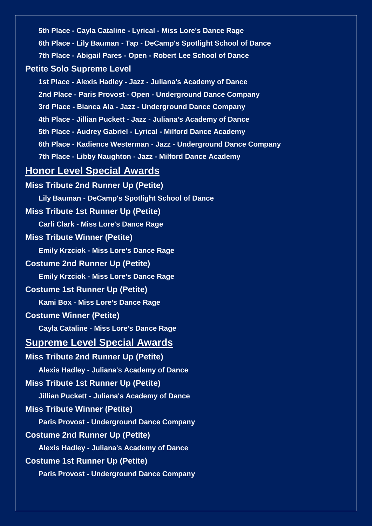**5th Place - Cayla Cataline - Lyrical - Miss Lore's Dance Rage 6th Place - Lily Bauman - Tap - DeCamp's Spotlight School of Dance 7th Place - Abigail Pares - Open - Robert Lee School of Dance Petite Solo Supreme Level 1st Place - Alexis Hadley - Jazz - Juliana's Academy of Dance 2nd Place - Paris Provost - Open - Underground Dance Company 3rd Place - Bianca Ala - Jazz - Underground Dance Company 4th Place - Jillian Puckett - Jazz - Juliana's Academy of Dance 5th Place - Audrey Gabriel - Lyrical - Milford Dance Academy 6th Place - Kadience Westerman - Jazz - Underground Dance Company 7th Place - Libby Naughton - Jazz - Milford Dance Academy Honor Level Special Awards Miss Tribute 2nd Runner Up (Petite) Lily Bauman - DeCamp's Spotlight School of Dance Miss Tribute 1st Runner Up (Petite) Carli Clark - Miss Lore's Dance Rage Miss Tribute Winner (Petite) Emily Krzciok - Miss Lore's Dance Rage Costume 2nd Runner Up (Petite) Emily Krzciok - Miss Lore's Dance Rage Costume 1st Runner Up (Petite) Kami Box - Miss Lore's Dance Rage Costume Winner (Petite) Cayla Cataline - Miss Lore's Dance Rage Supreme Level Special Awards Miss Tribute 2nd Runner Up (Petite) Alexis Hadley - Juliana's Academy of Dance Miss Tribute 1st Runner Up (Petite) Jillian Puckett - Juliana's Academy of Dance Miss Tribute Winner (Petite) Paris Provost - Underground Dance Company Costume 2nd Runner Up (Petite) Alexis Hadley - Juliana's Academy of Dance Costume 1st Runner Up (Petite) Paris Provost - Underground Dance Company**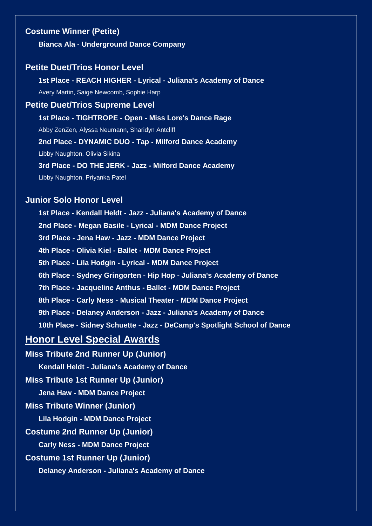### **Costume Winner (Petite)**

**Bianca Ala - Underground Dance Company**

### **Petite Duet/Trios Honor Level**

**1st Place - REACH HIGHER - Lyrical - Juliana's Academy of Dance** Avery Martin, Saige Newcomb, Sophie Harp

**Petite Duet/Trios Supreme Level 1st Place - TIGHTROPE - Open - Miss Lore's Dance Rage** Abby ZenZen, Alyssa Neumann, Sharidyn Antcliff **2nd Place - DYNAMIC DUO - Tap - Milford Dance Academy** Libby Naughton, Olivia Sikina **3rd Place - DO THE JERK - Jazz - Milford Dance Academy** Libby Naughton, Priyanka Patel

### **Junior Solo Honor Level**

**1st Place - Kendall Heldt - Jazz - Juliana's Academy of Dance 2nd Place - Megan Basile - Lyrical - MDM Dance Project 3rd Place - Jena Haw - Jazz - MDM Dance Project 4th Place - Olivia Kiel - Ballet - MDM Dance Project 5th Place - Lila Hodgin - Lyrical - MDM Dance Project 6th Place - Sydney Gringorten - Hip Hop - Juliana's Academy of Dance 7th Place - Jacqueline Anthus - Ballet - MDM Dance Project 8th Place - Carly Ness - Musical Theater - MDM Dance Project 9th Place - Delaney Anderson - Jazz - Juliana's Academy of Dance 10th Place - Sidney Schuette - Jazz - DeCamp's Spotlight School of Dance**

## **Honor Level Special Awards**

**Miss Tribute 2nd Runner Up (Junior) Kendall Heldt - Juliana's Academy of Dance**

**Miss Tribute 1st Runner Up (Junior)**

**Jena Haw - MDM Dance Project**

### **Miss Tribute Winner (Junior)**

**Lila Hodgin - MDM Dance Project**

**Costume 2nd Runner Up (Junior)**

**Carly Ness - MDM Dance Project**

### **Costume 1st Runner Up (Junior)**

**Delaney Anderson - Juliana's Academy of Dance**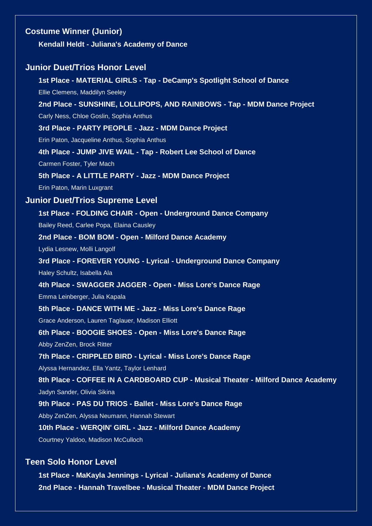| <b>Costume Winner (Junior)</b>                                                  |
|---------------------------------------------------------------------------------|
| Kendall Heldt - Juliana's Academy of Dance                                      |
| <b>Junior Duet/Trios Honor Level</b>                                            |
| 1st Place - MATERIAL GIRLS - Tap - DeCamp's Spotlight School of Dance           |
| Ellie Clemens, Maddilyn Seeley                                                  |
| 2nd Place - SUNSHINE, LOLLIPOPS, AND RAINBOWS - Tap - MDM Dance Project         |
| Carly Ness, Chloe Goslin, Sophia Anthus                                         |
| 3rd Place - PARTY PEOPLE - Jazz - MDM Dance Project                             |
| Erin Paton, Jacqueline Anthus, Sophia Anthus                                    |
| 4th Place - JUMP JIVE WAIL - Tap - Robert Lee School of Dance                   |
| Carmen Foster, Tyler Mach                                                       |
| 5th Place - A LITTLE PARTY - Jazz - MDM Dance Project                           |
| Erin Paton, Marin Luxgrant                                                      |
| <b>Junior Duet/Trios Supreme Level</b>                                          |
| 1st Place - FOLDING CHAIR - Open - Underground Dance Company                    |
| Bailey Reed, Carlee Popa, Elaina Causley                                        |
| 2nd Place - BOM BOM - Open - Milford Dance Academy                              |
| Lydia Lesnew, Molli Langolf                                                     |
| 3rd Place - FOREVER YOUNG - Lyrical - Underground Dance Company                 |
| Haley Schultz, Isabella Ala                                                     |
| 4th Place - SWAGGER JAGGER - Open - Miss Lore's Dance Rage                      |
| Emma Leinberger, Julia Kapala                                                   |
| 5th Place - DANCE WITH ME - Jazz - Miss Lore's Dance Rage                       |
| Grace Anderson, Lauren Taglauer, Madison Elliott                                |
| 6th Place - BOOGIE SHOES - Open - Miss Lore's Dance Rage                        |
| Abby ZenZen, Brock Ritter                                                       |
| 7th Place - CRIPPLED BIRD - Lyrical - Miss Lore's Dance Rage                    |
| Alyssa Hernandez, Ella Yantz, Taylor Lenhard                                    |
| 8th Place - COFFEE IN A CARDBOARD CUP - Musical Theater - Milford Dance Academy |
| Jadyn Sander, Olivia Sikina                                                     |
| 9th Place - PAS DU TRIOS - Ballet - Miss Lore's Dance Rage                      |
| Abby ZenZen, Alyssa Neumann, Hannah Stewart                                     |
| 10th Place - WERQIN' GIRL - Jazz - Milford Dance Academy                        |
| Courtney Yaldoo, Madison McCulloch                                              |
| <b>Teen Solo Honor Level</b>                                                    |

**1st Place - MaKayla Jennings - Lyrical - Juliana's Academy of Dance 2nd Place - Hannah Travelbee - Musical Theater - MDM Dance Project**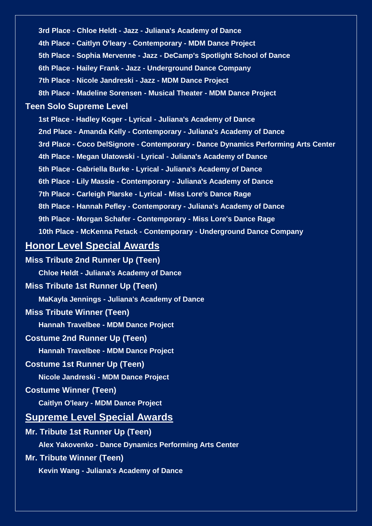**3rd Place - Chloe Heldt - Jazz - Juliana's Academy of Dance 4th Place - Caitlyn O'leary - Contemporary - MDM Dance Project 5th Place - Sophia Mervenne - Jazz - DeCamp's Spotlight School of Dance 6th Place - Hailey Frank - Jazz - Underground Dance Company 7th Place - Nicole Jandreski - Jazz - MDM Dance Project 8th Place - Madeline Sorensen - Musical Theater - MDM Dance Project Teen Solo Supreme Level 1st Place - Hadley Koger - Lyrical - Juliana's Academy of Dance 2nd Place - Amanda Kelly - Contemporary - Juliana's Academy of Dance 3rd Place - Coco DelSignore - Contemporary - Dance Dynamics Performing Arts Center 4th Place - Megan Ulatowski - Lyrical - Juliana's Academy of Dance 5th Place - Gabriella Burke - Lyrical - Juliana's Academy of Dance 6th Place - Lily Massie - Contemporary - Juliana's Academy of Dance 7th Place - Carleigh Plarske - Lyrical - Miss Lore's Dance Rage 8th Place - Hannah Pefley - Contemporary - Juliana's Academy of Dance 9th Place - Morgan Schafer - Contemporary - Miss Lore's Dance Rage 10th Place - McKenna Petack - Contemporary - Underground Dance Company Honor Level Special Awards**

**Miss Tribute 2nd Runner Up (Teen) Chloe Heldt - Juliana's Academy of Dance Miss Tribute 1st Runner Up (Teen) MaKayla Jennings - Juliana's Academy of Dance Miss Tribute Winner (Teen) Hannah Travelbee - MDM Dance Project Costume 2nd Runner Up (Teen) Hannah Travelbee - MDM Dance Project Costume 1st Runner Up (Teen) Nicole Jandreski - MDM Dance Project Costume Winner (Teen) Caitlyn O'leary - MDM Dance Project Supreme Level Special Awards Mr. Tribute 1st Runner Up (Teen) Alex Yakovenko - Dance Dynamics Performing Arts Center Mr. Tribute Winner (Teen) Kevin Wang - Juliana's Academy of Dance**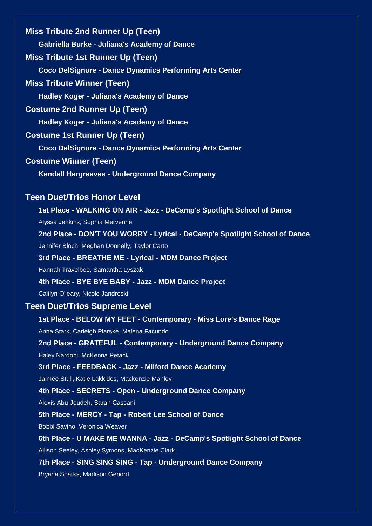| <b>Miss Tribute 2nd Runner Up (Teen)</b>                                                                 |
|----------------------------------------------------------------------------------------------------------|
| Gabriella Burke - Juliana's Academy of Dance                                                             |
| <b>Miss Tribute 1st Runner Up (Teen)</b>                                                                 |
| <b>Coco DelSignore - Dance Dynamics Performing Arts Center</b>                                           |
| <b>Miss Tribute Winner (Teen)</b>                                                                        |
| <b>Hadley Koger - Juliana's Academy of Dance</b>                                                         |
| <b>Costume 2nd Runner Up (Teen)</b>                                                                      |
| Hadley Koger - Juliana's Academy of Dance                                                                |
| <b>Costume 1st Runner Up (Teen)</b>                                                                      |
| <b>Coco DelSignore - Dance Dynamics Performing Arts Center</b>                                           |
| <b>Costume Winner (Teen)</b>                                                                             |
| <b>Kendall Hargreaves - Underground Dance Company</b>                                                    |
| <b>Teen Duet/Trios Honor Level</b>                                                                       |
| 1st Place - WALKING ON AIR - Jazz - DeCamp's Spotlight School of Dance                                   |
| Alyssa Jenkins, Sophia Mervenne                                                                          |
| 2nd Place - DON'T YOU WORRY - Lyrical - DeCamp's Spotlight School of Dance                               |
| Jennifer Bloch, Meghan Donnelly, Taylor Carto                                                            |
| 3rd Place - BREATHE ME - Lyrical - MDM Dance Project                                                     |
| Hannah Travelbee, Samantha Lyszak                                                                        |
| 4th Place - BYE BYE BABY - Jazz - MDM Dance Project                                                      |
| Caitlyn O'leary, Nicole Jandreski                                                                        |
| Teen Duet/Trios Supreme Level                                                                            |
| 1st Place - BELOW MY FEET - Contemporary - Miss Lore's Dance Rage                                        |
| Anna Stark, Carleigh Plarske, Malena Facundo                                                             |
| 2nd Place - GRATEFUL - Contemporary - Underground Dance Company                                          |
| Haley Nardoni, McKenna Petack                                                                            |
| 3rd Place - FEEDBACK - Jazz - Milford Dance Academy                                                      |
| Jaimee Stull, Katie Lakkides, Mackenzie Manley                                                           |
| 4th Place - SECRETS - Open - Underground Dance Company                                                   |
| Alexis Abu-Joudeh, Sarah Cassani                                                                         |
| 5th Place - MERCY - Tap - Robert Lee School of Dance                                                     |
| Bobbi Savino, Veronica Weaver<br>6th Place - U MAKE ME WANNA - Jazz - DeCamp's Spotlight School of Dance |
| Allison Seeley, Ashley Symons, MacKenzie Clark                                                           |
| 7th Place - SING SING SING - Tap - Underground Dance Company                                             |
| Bryana Sparks, Madison Genord                                                                            |
|                                                                                                          |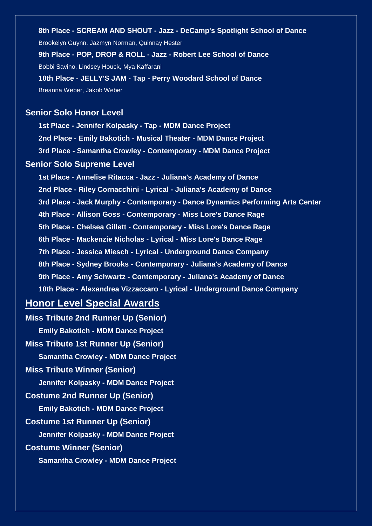**8th Place - SCREAM AND SHOUT - Jazz - DeCamp's Spotlight School of Dance** Brookelyn Guynn, Jazmyn Norman, Quinnay Hester **9th Place - POP, DROP & ROLL - Jazz - Robert Lee School of Dance** Bobbi Savino, Lindsey Houck, Mya Kaffarani **10th Place - JELLY'S JAM - Tap - Perry Woodard School of Dance** Breanna Weber, Jakob Weber

### **Senior Solo Honor Level**

**1st Place - Jennifer Kolpasky - Tap - MDM Dance Project 2nd Place - Emily Bakotich - Musical Theater - MDM Dance Project 3rd Place - Samantha Crowley - Contemporary - MDM Dance Project Senior Solo Supreme Level 1st Place - Annelise Ritacca - Jazz - Juliana's Academy of Dance 2nd Place - Riley Cornacchini - Lyrical - Juliana's Academy of Dance 3rd Place - Jack Murphy - Contemporary - Dance Dynamics Performing Arts Center 4th Place - Allison Goss - Contemporary - Miss Lore's Dance Rage 5th Place - Chelsea Gillett - Contemporary - Miss Lore's Dance Rage 6th Place - Mackenzie Nicholas - Lyrical - Miss Lore's Dance Rage 7th Place - Jessica Miesch - Lyrical - Underground Dance Company 8th Place - Sydney Brooks - Contemporary - Juliana's Academy of Dance 9th Place - Amy Schwartz - Contemporary - Juliana's Academy of Dance**

**10th Place - Alexandrea Vizzaccaro - Lyrical - Underground Dance Company**

## **Honor Level Special Awards**

**Miss Tribute 2nd Runner Up (Senior) Emily Bakotich - MDM Dance Project Miss Tribute 1st Runner Up (Senior) Samantha Crowley - MDM Dance Project Miss Tribute Winner (Senior) Jennifer Kolpasky - MDM Dance Project Costume 2nd Runner Up (Senior) Emily Bakotich - MDM Dance Project Costume 1st Runner Up (Senior) Jennifer Kolpasky - MDM Dance Project Costume Winner (Senior) Samantha Crowley - MDM Dance Project**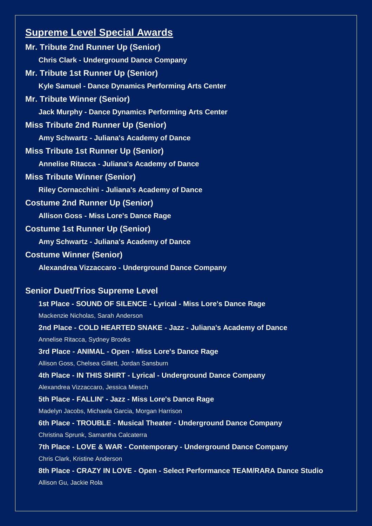# **Supreme Level Special Awards**

| <b>Mr. Tribute 2nd Runner Up (Senior)</b>                                    |  |
|------------------------------------------------------------------------------|--|
| <b>Chris Clark - Underground Dance Company</b>                               |  |
| <b>Mr. Tribute 1st Runner Up (Senior)</b>                                    |  |
| Kyle Samuel - Dance Dynamics Performing Arts Center                          |  |
| <b>Mr. Tribute Winner (Senior)</b>                                           |  |
| <b>Jack Murphy - Dance Dynamics Performing Arts Center</b>                   |  |
| <b>Miss Tribute 2nd Runner Up (Senior)</b>                                   |  |
| Amy Schwartz - Juliana's Academy of Dance                                    |  |
| <b>Miss Tribute 1st Runner Up (Senior)</b>                                   |  |
| <b>Annelise Ritacca - Juliana's Academy of Dance</b>                         |  |
| <b>Miss Tribute Winner (Senior)</b>                                          |  |
| <b>Riley Cornacchini - Juliana's Academy of Dance</b>                        |  |
| <b>Costume 2nd Runner Up (Senior)</b>                                        |  |
| <b>Allison Goss - Miss Lore's Dance Rage</b>                                 |  |
| <b>Costume 1st Runner Up (Senior)</b>                                        |  |
| Amy Schwartz - Juliana's Academy of Dance                                    |  |
| <b>Costume Winner (Senior)</b>                                               |  |
| Alexandrea Vizzaccaro - Underground Dance Company                            |  |
|                                                                              |  |
| <b>Senior Duet/Trios Supreme Level</b>                                       |  |
| 1st Place - SOUND OF SILENCE - Lyrical - Miss Lore's Dance Rage              |  |
| Mackenzie Nicholas, Sarah Anderson                                           |  |
| 2nd Place - COLD HEARTED SNAKE - Jazz - Juliana's Academy of Dance           |  |
| Annelise Ritacca, Sydney Brooks                                              |  |
| 3rd Place - ANIMAL - Open - Miss Lore's Dance Rage                           |  |
| Allison Goss, Chelsea Gillett, Jordan Sansburn                               |  |
| 4th Place - IN THIS SHIRT - Lyrical - Underground Dance Company              |  |
| Alexandrea Vizzaccaro, Jessica Miesch                                        |  |
| 5th Place - FALLIN' - Jazz - Miss Lore's Dance Rage                          |  |
| Madelyn Jacobs, Michaela Garcia, Morgan Harrison                             |  |
| 6th Place - TROUBLE - Musical Theater - Underground Dance Company            |  |
| Christina Sprunk, Samantha Calcaterra                                        |  |
| 7th Place - LOVE & WAR - Contemporary - Underground Dance Company            |  |
| Chris Clark, Kristine Anderson                                               |  |
| 8th Place - CRAZY IN LOVE - Open - Select Performance TEAM/RARA Dance Studio |  |
| Allison Gu, Jackie Rola                                                      |  |